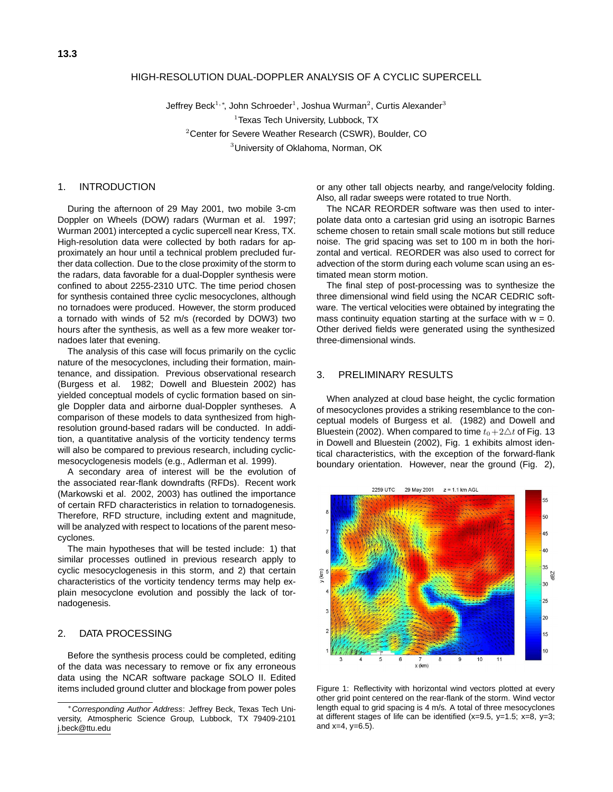#### HIGH-RESOLUTION DUAL-DOPPLER ANALYSIS OF A CYCLIC SUPERCELL

Jeffrey Beck<sup>1,∗</sup>, John Schroeder<sup>1</sup>, Joshua Wurman<sup>2</sup>, Curtis Alexander<sup>3</sup>  $1$ Texas Tech University, Lubbock, TX <sup>2</sup>Center for Severe Weather Research (CSWR), Boulder, CO

<sup>3</sup>University of Oklahoma, Norman, OK

# 1. INTRODUCTION

During the afternoon of 29 May 2001, two mobile 3-cm Doppler on Wheels (DOW) radars (Wurman et al. 1997; Wurman 2001) intercepted a cyclic supercell near Kress, TX. High-resolution data were collected by both radars for approximately an hour until a technical problem precluded further data collection. Due to the close proximity of the storm to the radars, data favorable for a dual-Doppler synthesis were confined to about 2255-2310 UTC. The time period chosen for synthesis contained three cyclic mesocyclones, although no tornadoes were produced. However, the storm produced a tornado with winds of 52 m/s (recorded by DOW3) two hours after the synthesis, as well as a few more weaker tornadoes later that evening.

The analysis of this case will focus primarily on the cyclic nature of the mesocyclones, including their formation, maintenance, and dissipation. Previous observational research (Burgess et al. 1982; Dowell and Bluestein 2002) has yielded conceptual models of cyclic formation based on single Doppler data and airborne dual-Doppler syntheses. A comparison of these models to data synthesized from highresolution ground-based radars will be conducted. In addition, a quantitative analysis of the vorticity tendency terms will also be compared to previous research, including cyclicmesocyclogenesis models (e.g., Adlerman et al. 1999).

A secondary area of interest will be the evolution of the associated rear-flank downdrafts (RFDs). Recent work (Markowski et al. 2002, 2003) has outlined the importance of certain RFD characteristics in relation to tornadogenesis. Therefore, RFD structure, including extent and magnitude, will be analyzed with respect to locations of the parent mesocyclones.

The main hypotheses that will be tested include: 1) that similar processes outlined in previous research apply to cyclic mesocyclogenesis in this storm, and 2) that certain characteristics of the vorticity tendency terms may help explain mesocyclone evolution and possibly the lack of tornadogenesis.

# 2. DATA PROCESSING

Before the synthesis process could be completed, editing of the data was necessary to remove or fix any erroneous data using the NCAR software package SOLO II. Edited items included ground clutter and blockage from power poles or any other tall objects nearby, and range/velocity folding. Also, all radar sweeps were rotated to true North.

The NCAR REORDER software was then used to interpolate data onto a cartesian grid using an isotropic Barnes scheme chosen to retain small scale motions but still reduce noise. The grid spacing was set to 100 m in both the horizontal and vertical. REORDER was also used to correct for advection of the storm during each volume scan using an estimated mean storm motion.

The final step of post-processing was to synthesize the three dimensional wind field using the NCAR CEDRIC software. The vertical velocities were obtained by integrating the mass continuity equation starting at the surface with  $w = 0$ . Other derived fields were generated using the synthesized three-dimensional winds.

# 3. PRELIMINARY RESULTS

When analyzed at cloud base height, the cyclic formation of mesocyclones provides a striking resemblance to the conceptual models of Burgess et al. (1982) and Dowell and Bluestein (2002). When compared to time  $t_0+2\Delta t$  of Fig. 13 in Dowell and Bluestein (2002), Fig. 1 exhibits almost identical characteristics, with the exception of the forward-flank boundary orientation. However, near the ground (Fig. 2),



Figure 1: Reflectivity with horizontal wind vectors plotted at every other grid point centered on the rear-flank of the storm. Wind vector length equal to grid spacing is 4 m/s. A total of three mesocyclones at different stages of life can be identified  $(x=9.5, y=1.5; x=8, y=3;$ and  $x=4$ ,  $y=6.5$ ).

<sup>∗</sup>Corresponding Author Address: Jeffrey Beck, Texas Tech University, Atmospheric Science Group, Lubbock, TX 79409-2101 j.beck@ttu.edu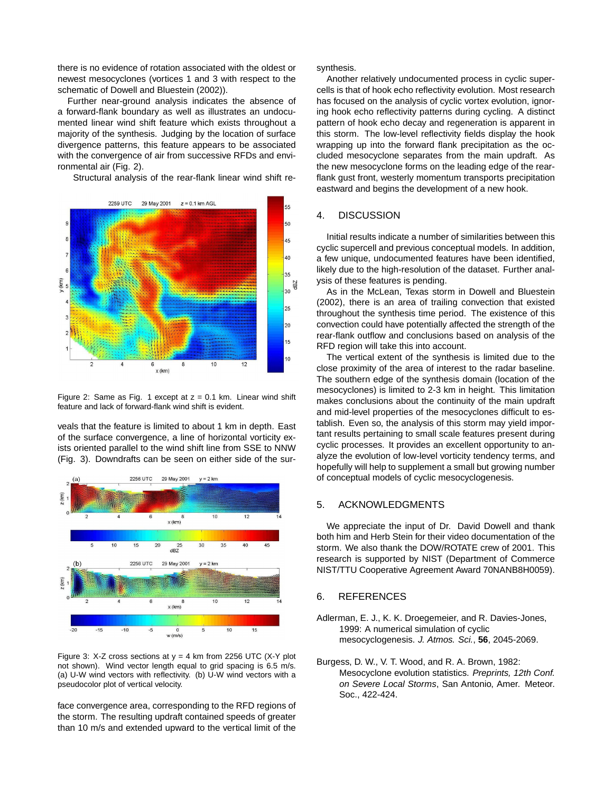there is no evidence of rotation associated with the oldest or newest mesocyclones (vortices 1 and 3 with respect to the schematic of Dowell and Bluestein (2002)).

Further near-ground analysis indicates the absence of a forward-flank boundary as well as illustrates an undocumented linear wind shift feature which exists throughout a majority of the synthesis. Judging by the location of surface divergence patterns, this feature appears to be associated with the convergence of air from successive RFDs and environmental air (Fig. 2).

Structural analysis of the rear-flank linear wind shift re-



Figure 2: Same as Fig. 1 except at  $z = 0.1$  km. Linear wind shift feature and lack of forward-flank wind shift is evident.

veals that the feature is limited to about 1 km in depth. East of the surface convergence, a line of horizontal vorticity exists oriented parallel to the wind shift line from SSE to NNW (Fig. 3). Downdrafts can be seen on either side of the sur-



Figure 3: X-Z cross sections at  $y = 4$  km from 2256 UTC (X-Y plot not shown). Wind vector length equal to grid spacing is 6.5 m/s. (a) U-W wind vectors with reflectivity. (b) U-W wind vectors with a pseudocolor plot of vertical velocity.

face convergence area, corresponding to the RFD regions of the storm. The resulting updraft contained speeds of greater than 10 m/s and extended upward to the vertical limit of the synthesis.

Another relatively undocumented process in cyclic supercells is that of hook echo reflectivity evolution. Most research has focused on the analysis of cyclic vortex evolution, ignoring hook echo reflectivity patterns during cycling. A distinct pattern of hook echo decay and regeneration is apparent in this storm. The low-level reflectivity fields display the hook wrapping up into the forward flank precipitation as the occluded mesocyclone separates from the main updraft. As the new mesocyclone forms on the leading edge of the rearflank gust front, westerly momentum transports precipitation eastward and begins the development of a new hook.

#### 4. DISCUSSION

Initial results indicate a number of similarities between this cyclic supercell and previous conceptual models. In addition, a few unique, undocumented features have been identified, likely due to the high-resolution of the dataset. Further analysis of these features is pending.

As in the McLean, Texas storm in Dowell and Bluestein (2002), there is an area of trailing convection that existed throughout the synthesis time period. The existence of this convection could have potentially affected the strength of the rear-flank outflow and conclusions based on analysis of the RFD region will take this into account.

The vertical extent of the synthesis is limited due to the close proximity of the area of interest to the radar baseline. The southern edge of the synthesis domain (location of the mesocyclones) is limited to 2-3 km in height. This limitation makes conclusions about the continuity of the main updraft and mid-level properties of the mesocyclones difficult to establish. Even so, the analysis of this storm may yield important results pertaining to small scale features present during cyclic processes. It provides an excellent opportunity to analyze the evolution of low-level vorticity tendency terms, and hopefully will help to supplement a small but growing number of conceptual models of cyclic mesocyclogenesis.

#### 5. ACKNOWLEDGMENTS

We appreciate the input of Dr. David Dowell and thank both him and Herb Stein for their video documentation of the storm. We also thank the DOW/ROTATE crew of 2001. This research is supported by NIST (Department of Commerce NIST/TTU Cooperative Agreement Award 70NANB8H0059).

## 6. REFERENCES

- Adlerman, E. J., K. K. Droegemeier, and R. Davies-Jones, 1999: A numerical simulation of cyclic mesocyclogenesis. J. Atmos. Sci., **56**, 2045-2069.
- Burgess, D. W., V. T. Wood, and R. A. Brown, 1982: Mesocyclone evolution statistics. Preprints, 12th Conf. on Severe Local Storms, San Antonio, Amer. Meteor. Soc., 422-424.